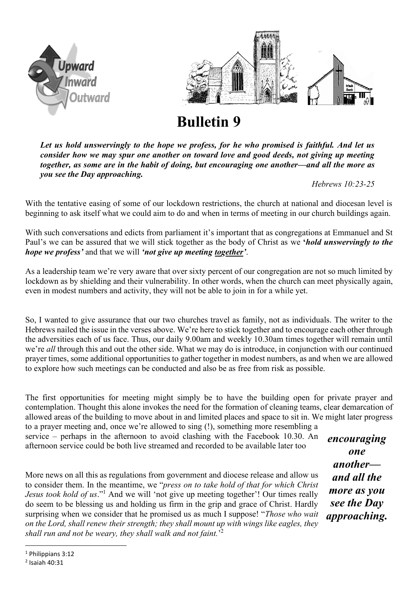



**Bulletin 9**

*Let us hold unswervingly to the hope we profess, for he who promised is faithful. And let us consider how we may spur one another on toward love and good deeds, not giving up meeting together, as some are in the habit of doing, but encouraging one another—and all the more as you see the Day approaching.*

*Hebrews 10:23-25* 

With the tentative easing of some of our lockdown restrictions, the church at national and diocesan level is beginning to ask itself what we could aim to do and when in terms of meeting in our church buildings again.

With such conversations and edicts from parliament it's important that as congregations at Emmanuel and St Paul's we can be assured that we will stick together as the body of Christ as we **'***hold unswervingly to the hope we profess'* and that we will *'not give up meeting together'*.

As a leadership team we're very aware that over sixty percent of our congregation are not so much limited by lockdown as by shielding and their vulnerability. In other words, when the church can meet physically again, even in modest numbers and activity, they will not be able to join in for a while yet.

So, I wanted to give assurance that our two churches travel as family, not as individuals. The writer to the Hebrews nailed the issue in the verses above. We're here to stick together and to encourage each other through the adversities each of us face. Thus, our daily 9.00am and weekly 10.30am times together will remain until we're *all* through this and out the other side. What we may do is introduce, in conjunction with our continued prayer times, some additional opportunities to gather together in modest numbers, as and when we are allowed to explore how such meetings can be conducted and also be as free from risk as possible.

The first opportunities for meeting might simply be to have the building open for private prayer and contemplation. Thought this alone invokes the need for the formation of cleaning teams, clear demarcation of allowed areas of the building to move about in and limited places and space to sit in. We might later progress to a prayer meeting and, once we're allowed to sing (!), something more resembling a

service – perhaps in the afternoon to avoid clashing with the Facebook 10.30. An afternoon service could be both live streamed and recorded to be available later too

More news on all this as regulations from government and diocese release and allow us to consider them. In the meantime, we "*press on to take hold of that for which Christ Jesus took hold of us*."<sup>1</sup> And we will 'not give up meeting together'! Our times really do seem to be blessing us and holding us firm in the grip and grace of Christ. Hardly surprising when we consider that he promised us as much I suppose! "*Those who wait on the Lord, shall renew their strength; they shall mount up with wings like eagles, they shall run and not be weary, they shall walk and not faint.*' 2

*encouraging one another and all the more as you see the Day approaching.*

<sup>1</sup> Philippians 3:12

<sup>2</sup> Isaiah 40:31